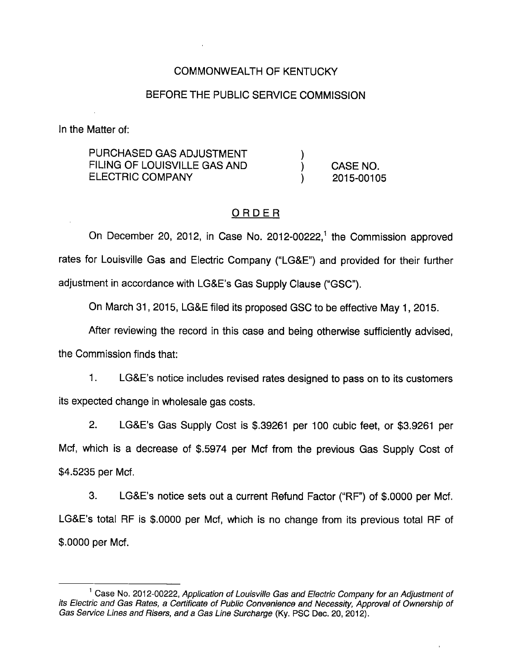## COMMONWEALTH OF KENTUCKY

#### BEFORE THE PUBLIC SERVICE COMMISSION

In the Matter of:

| PURCHASED GAS ADJUSTMENT     |            |
|------------------------------|------------|
| FILING OF LOUISVILLE GAS AND | CASE NO.   |
| ELECTRIC COMPANY             | 2015-00105 |

## ORDER

On December 20, 2012, in Case No. 2012-00222,<sup>1</sup> the Commission approved rates for Louisville Gas and Electric Company ("LG&E") and provided for their further adjustment in accordance with LG&E's Gas Supply Clause ("GSC").

On March 31, 2015, LG&E filed its proposed GSC to be effective May 1, 2015.

After reviewing the record in this case and being othenwise sufficiently advised,

the Commission finds that:

1. LG&E's notice includes revised rates designed to pass on to its customers its expected change in wholesale gas costs.

2. LG&E's Gas Supply Cost is \$.39261 per 100 cubic feet, or \$3.9261 per Mcf, which is a decrease of \$.5974 per Mcf from the previous Gas Supply Cost of \$4.5235 per Mcf.

3. LG&E's notice sets out a current Refund Factor ("RF") of \$.0000 per Mcf. LG&E's total RF is \$.0000 per Mcf, which is no change from its previous total RF of \$.0000 per Mcf.

 $<sup>1</sup>$  Case No. 2012-00222, Application of Louisville Gas and Electric Company for an Adjustment of</sup> its Electric and Gas Rates, a Certificate of Public Convenience and Necessity, Approval of Ownership of Gas Service Lines and Risers, and a Gas Line Surcharge (Ky. PSC Dec. 20, 2012).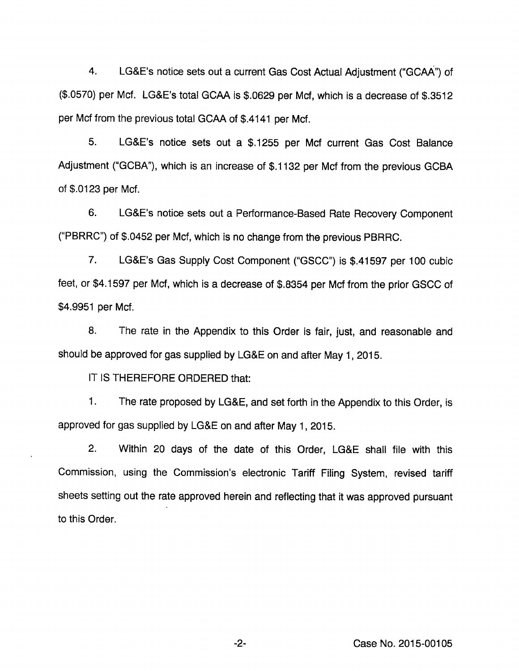4. LG&E's notice sets out a current Gas Cost Actual Adjustment ("GCAA") of (\$.0570) per Mcf. LG&E's total GCAA Is \$.0629 per Mcf, which is a decrease of \$.3512 per Mcf from the previous total GCAA of \$.4141 per Mcf.

5. LG&E's notice sets out a \$.1255 per Mcf current Gas Cost Balance Adjustment ("GCBA"), which is an increase of \$.1132 per Mcf from the previous GCBA of \$.0123 per Mcf.

6. LG&E's notice sets out a Performance-Based Rate Recovery Component ("PBRRC") of \$.0452 per Mcf, which is no change from the previous PBRRC.

7. LG&E's Gas Supply Cost Component ("GSCC") Is \$.41597 per 100 cubic feet, or \$4.1597 per Mcf, which is a decrease of \$.8354 per Mcf from the prior GSCC of \$4.9951 per Mcf.

8. The rate in the Appendix to this Order is fair, just, and reasonable and should be approved for gas supplied by LG&E on and after May 1, 2015.

IT IS THEREFORE ORDERED that:

1. The rate proposed by LG&E, and set forth in the Appendix to this Order, is approved for gas supplied by LG&E on and after May 1, 2015.

2. Within 20 days of the date of this Order, LG&E shall file with this Commission, using the Commission's electronic Tariff Filing System, revised tariff sheets setting out the rate approved herein and reflecting that it was approved pursuant to this Order.

-2- Case No. 2015-00105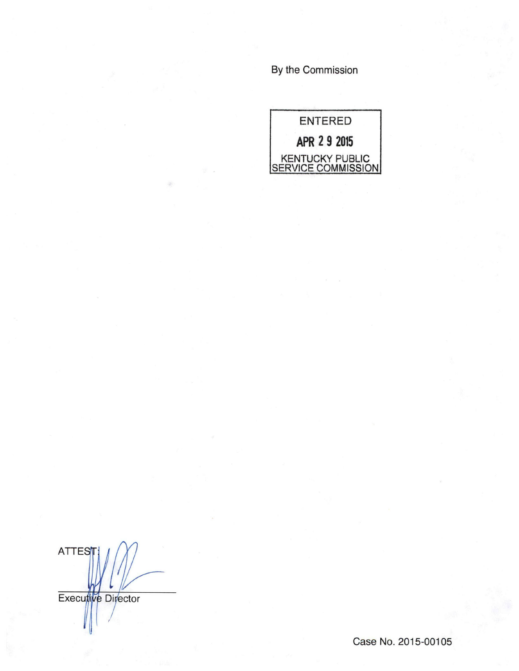By the Commission



**ATTES** Executive Director

Case No. 2015-00105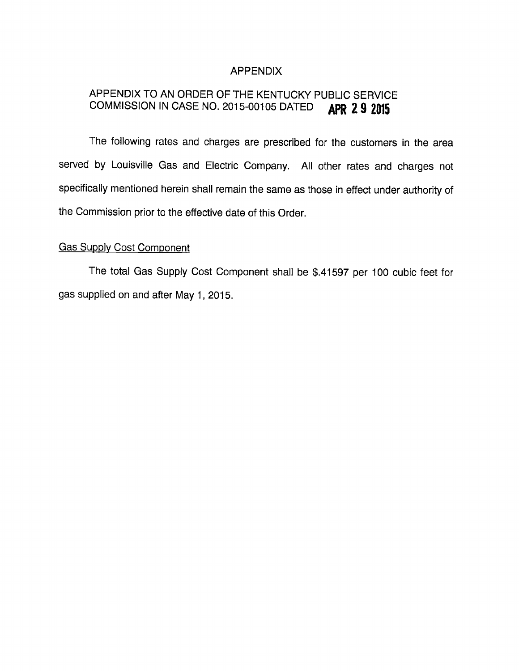## APPENDIX

# APPENDIX TO AN ORDER OF THE KENTUCKY PUBLIC SERVICE COMMISSION IN CASE NO. 2015-00105 DATED **APR 2 9 2015**

The following rates and charges are prescribed for the customers in the area served by Louisville Gas and Electric Company. All other rates and charges not specifically mentioned herein shall remain the same as those in effect under authority of the Commission prior to the effective date of this Order.

#### **Gas Supply Cost Component**

The total Gas Supply Cost Component shall be \$.41597 per 100 cubic feet for gas supplied on and after May 1, 2015.